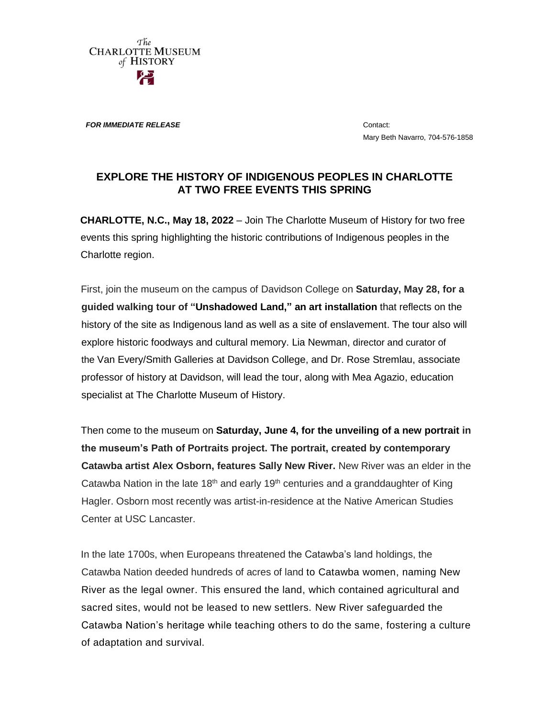The **CHARLOTTE MUSEUM** of HISTORY

**FOR IMMEDIATE RELEASE CONTACT CONTACT** 

Mary Beth Navarro, 704-576-1858

## **EXPLORE THE HISTORY OF INDIGENOUS PEOPLES IN CHARLOTTE AT TWO FREE EVENTS THIS SPRING**

**CHARLOTTE, N.C., May 18, 2022** – Join The Charlotte Museum of History for two free events this spring highlighting the historic contributions of Indigenous peoples in the Charlotte region.

First, join the museum on the campus of Davidson College on **Saturday, May 28, for a guided walking tour of ["Unshadowed Land,](https://www.youtube.com/watch?v=pbFMSRmvrNo)" an art installation** that reflects on the history of the site as Indigenous land as well as a site of enslavement. The tour also will explore historic foodways and cultural memory. Lia Newman, director and curator of the Van Every/Smith Galleries at Davidson College, and Dr. Rose Stremlau, associate professor of history at Davidson, will lead the tour, along with Mea Agazio, education specialist at The Charlotte Museum of History.

Then come to the museum on **Saturday, June 4, for the unveiling of a new portrait in the museum's Path of Portraits project. The portrait, created by contemporary Catawba artist Alex Osborn, features Sally New River.** New River was an elder in the Catawba Nation in the late 18<sup>th</sup> and early 19<sup>th</sup> centuries and a granddaughter of King Hagler. Osborn most recently was artist-in-residence at the Native American Studies Center at USC Lancaster.

In the late 1700s, when Europeans threatened the Catawba's land holdings, the Catawba Nation deeded hundreds of acres of land to Catawba women, naming New River as the legal owner. This ensured the land, which contained agricultural and sacred sites, would not be leased to new settlers. New River safeguarded the Catawba Nation's heritage while teaching others to do the same, fostering a culture of adaptation and survival.